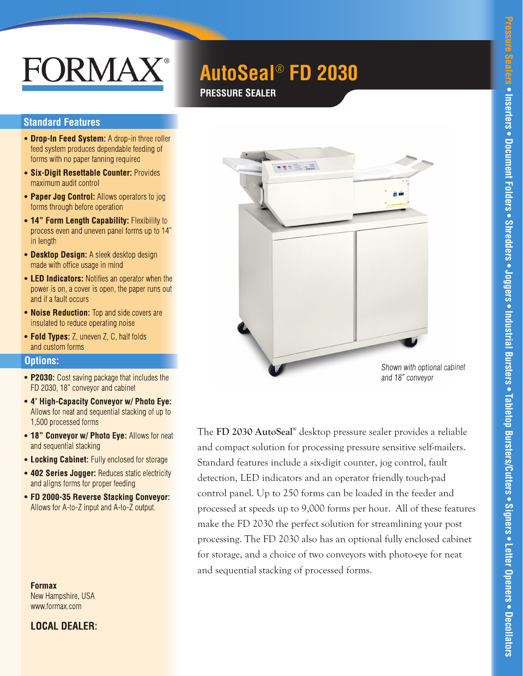# FORMAX®

# **AutoSeal***®* **FD 2030**

# **PRESSURE SEALER**

#### **Standard Features**

- **Drop-In Feed System:** A drop-in three roller feed system produces dependable feeding of forms with no paper fanning required
- **Six-Digit Resettable Counter:** Provides maximum audit control
- **Paper Jog Control:** Allows operators to jog forms through before operation
- **14" Form Length Capability: Flexibility to** process even and uneven panel forms up to 14" in length
- **Desktop Design:** A sleek desktop design made with office usage in mind
- **LED Indicators:** Notifies an operator when the power is on, a cover is open, the paper runs out and if a fault occurs
- **Noise Reduction:** Top and side covers are insulated to reduce operating noise
- **Fold Types:** Z, uneven Z, C, half folds and custom forms

#### **Options:**

- **P2030:** Cost saving package that includes the FD 2030, 18" conveyor and cabinet
- **4' High-Capacity Conveyor w/ Photo Eye:** Allows for neat and sequential stacking of up to 1,500 processed forms
- **18" Conveyor w/ Photo Eye: Allows for neat** and sequential stacking
- **Locking Cabinet:** Fully enclosed for storage
- **402 Series Jogger:** Reduces static electricity and aligns forms for proper feeding
- **FD 2000-35 Reverse Stacking Conveyor:** Allows for A-to-Z input and A-to-Z output.

**Formax** New Hampshire, USA www.formax.com

**LOCAL DEALER:**



The **FD 2030 AutoSeal®** desktop pressure sealer provides a reliable and compact solution for processing pressure sensitive self-mailers. Standard features include a six-digit counter, jog control, fault detection, LED indicators and an operator friendly touch-pad control panel. Up to 250 forms can be loaded in the feeder and processed at speeds up to 9,000 forms per hour. All of these features make the FD 2030 the perfect solution for streamlining your post processing. The FD 2030 also has an optional fully enclosed cabinet for storage, and a choice of two conveyors with photo-eye for neat and sequential stacking of processed forms.